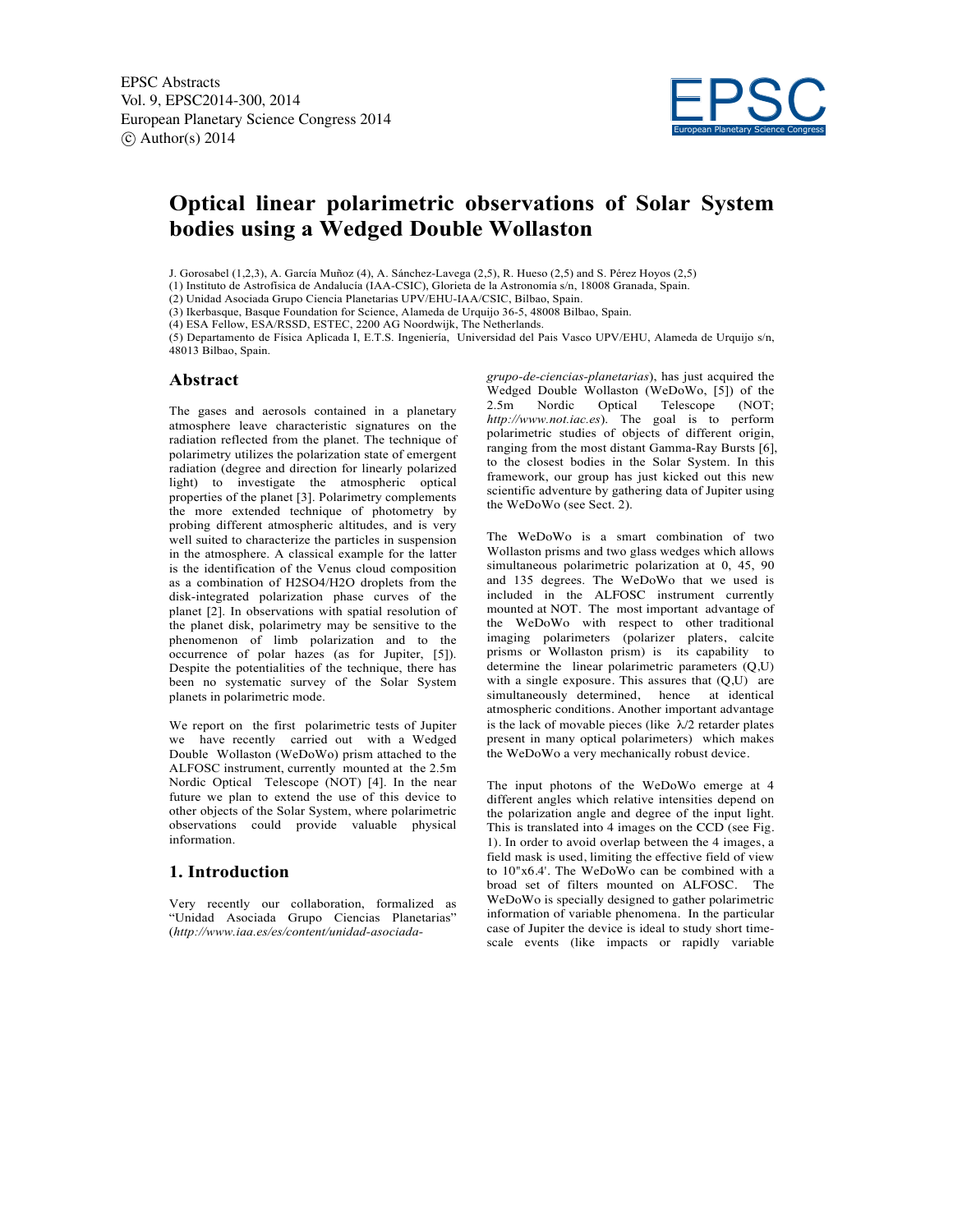

# **Optical linear polarimetric observations of Solar System bodies using a Wedged Double Wollaston**

J. Gorosabel (1,2,3), A. García Muñoz (4), A. Sánchez-Lavega (2,5), R. Hueso (2,5) and S. Pérez Hoyos (2,5)

(1) Instituto de Astrofísica de Andalucía (IAA-CSIC), Glorieta de la Astronomía s/n, 18008 Granada, Spain.

(2) Unidad Asociada Grupo Ciencia Planetarias UPV/EHU-IAA/CSIC, Bilbao, Spain.

(3) Ikerbasque, Basque Foundation for Science, Alameda de Urquijo 36-5, 48008 Bilbao, Spain.

(4) ESA Fellow, ESA/RSSD, ESTEC, 2200 AG Noordwijk, The Netherlands.

(5) Departamento de Física Aplicada I, E.T.S. Ingeniería, Universidad del Pais Vasco UPV/EHU, Alameda de Urquijo s/n, 48013 Bilbao, Spain.

#### **Abstract**

The gases and aerosols contained in a planetary atmosphere leave characteristic signatures on the radiation reflected from the planet. The technique of polarimetry utilizes the polarization state of emergent radiation (degree and direction for linearly polarized light) to investigate the atmospheric optical properties of the planet [3]. Polarimetry complements the more extended technique of photometry by probing different atmospheric altitudes, and is very well suited to characterize the particles in suspension in the atmosphere. A classical example for the latter is the identification of the Venus cloud composition as a combination of H2SO4/H2O droplets from the disk-integrated polarization phase curves of the planet [2]. In observations with spatial resolution of the planet disk, polarimetry may be sensitive to the phenomenon of limb polarization and to the occurrence of polar hazes (as for Jupiter, [5]). Despite the potentialities of the technique, there has been no systematic survey of the Solar System planets in polarimetric mode.

We report on the first polarimetric tests of Jupiter we have recently carried out with a Wedged Double Wollaston (WeDoWo) prism attached to the ALFOSC instrument, currently mounted at the 2.5m Nordic Optical Telescope (NOT) [4]. In the near future we plan to extend the use of this device to other objects of the Solar System, where polarimetric observations could provide valuable physical information.

### **1. Introduction**

Very recently our collaboration, formalized as "Unidad Asociada Grupo Ciencias Planetarias" (*http://www.iaa.es/es/content/unidad-asociada-* *grupo-de-ciencias-planetarias*), has just acquired the Wedged Double Wollaston (WeDoWo, [5]) of the 2.5m Nordic Optical Telescope (NOT; *http://www.not.iac.es*). The goal is to perform polarimetric studies of objects of different origin, ranging from the most distant Gamma-Ray Bursts [6], to the closest bodies in the Solar System. In this framework, our group has just kicked out this new scientific adventure by gathering data of Jupiter using the WeDoWo (see Sect. 2).

The WeDoWo is a smart combination of two Wollaston prisms and two glass wedges which allows simultaneous polarimetric polarization at 0, 45, 90 and 135 degrees. The WeDoWo that we used is included in the ALFOSC instrument currently mounted at NOT. The most important advantage of the WeDoWo with respect to other traditional imaging polarimeters (polarizer platers, calcite prisms or Wollaston prism) is its capability to determine the linear polarimetric parameters (Q,U) with a single exposure. This assures that  $(Q,U)$  are simultaneously determined, hence at identical atmospheric conditions. Another important advantage is the lack of movable pieces (like  $\lambda/2$  retarder plates present in many optical polarimeters) which makes the WeDoWo a very mechanically robust device.

The input photons of the WeDoWo emerge at 4 different angles which relative intensities depend on the polarization angle and degree of the input light. This is translated into 4 images on the CCD (see Fig. 1). In order to avoid overlap between the 4 images, a field mask is used, limiting the effective field of view to 10"x6.4'. The WeDoWo can be combined with a broad set of filters mounted on ALFOSC. The WeDoWo is specially designed to gather polarimetric information of variable phenomena. In the particular case of Jupiter the device is ideal to study short timescale events (like impacts or rapidly variable